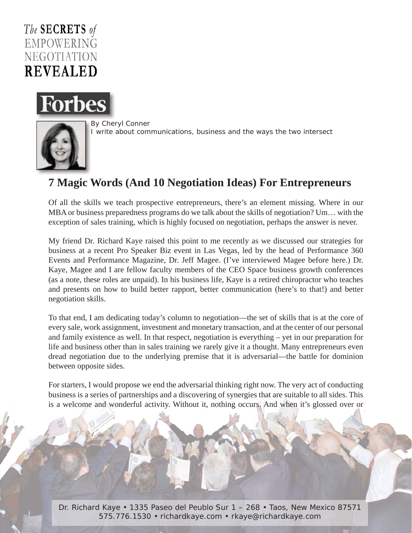## The **SECRETS** of **EMPOWERING NEGOTIATION REVEALED**





By Cheryl Conner I write about communications, business and the ways the two intersect

## **7 Magic Words (And 10 Negotiation Ideas) For Entrepreneurs**

Of all the skills we teach prospective entrepreneurs, there's an element missing. Where in our MBA or business preparedness programs do we talk about the skills of negotiation? Um… with the exception of sales training, which is highly focused on negotiation, perhaps the answer is never.

My friend Dr. Richard Kaye raised this point to me recently as we discussed our strategies for business at a recent Pro Speaker Biz event in Las Vegas, led by the head of Performance 360 Events and Performance Magazine, Dr. Jeff Magee. (I've interviewed Magee before here.) Dr. Kaye, Magee and I are fellow faculty members of the CEO Space business growth conferences (as a note, these roles are unpaid). In his business life, Kaye is a retired chiropractor who teaches and presents on how to build better rapport, better communication (here's to that!) and better negotiation skills.

To that end, I am dedicating today's column to negotiation—the set of skills that is at the core of every sale, work assignment, investment and monetary transaction, and at the center of our personal and family existence as well. In that respect, negotiation is everything – yet in our preparation for life and business other than in sales training we rarely give it a thought. Many entrepreneurs even dread negotiation due to the underlying premise that it is adversarial—the battle for dominion between opposite sides.

For starters, I would propose we end the adversarial thinking right now. The very act of conducting business is a series of partnerships and a discovering of synergies that are suitable to all sides. This is a welcome and wonderful activity. Without it, nothing occurs. And when it's glossed over or

Dr. Richard Kaye • 1335 Paseo del Peublo Sur 1 – 268 • Taos, New Mexico 87571 575.776.1530 • richardkaye.com • rkaye@richardkaye.com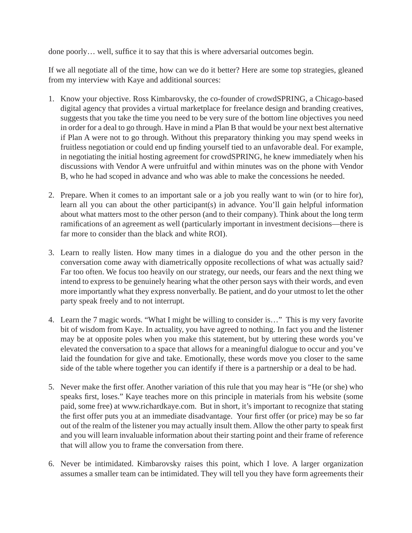done poorly... well, suffice it to say that this is where adversarial outcomes begin.

If we all negotiate all of the time, how can we do it better? Here are some top strategies, gleaned from my interview with Kaye and additional sources:

- 1. Know your objective. Ross Kimbarovsky, the co-founder of crowdSPRING, a Chicago-based digital agency that provides a virtual marketplace for freelance design and branding creatives, suggests that you take the time you need to be very sure of the bottom line objectives you need in order for a deal to go through. Have in mind a Plan B that would be your next best alternative if Plan A were not to go through. Without this preparatory thinking you may spend weeks in fruitless negotiation or could end up finding yourself tied to an unfavorable deal. For example, in negotiating the initial hosting agreement for crowdSPRING, he knew immediately when his discussions with Vendor A were unfruitful and within minutes was on the phone with Vendor B, who he had scoped in advance and who was able to make the concessions he needed.
- 2. Prepare. When it comes to an important sale or a job you really want to win (or to hire for), learn all you can about the other participant(s) in advance. You'll gain helpful information about what matters most to the other person (and to their company). Think about the long term ramifications of an agreement as well (particularly important in investment decisions—there is far more to consider than the black and white ROI).
- 3. Learn to really listen. How many times in a dialogue do you and the other person in the conversation come away with diametrically opposite recollections of what was actually said? Far too often. We focus too heavily on our strategy, our needs, our fears and the next thing we intend to express to be genuinely hearing what the other person says with their words, and even more importantly what they express nonverbally. Be patient, and do your utmost to let the other party speak freely and to not interrupt.
- 4. Learn the 7 magic words. "What I might be willing to consider is…" This is my very favorite bit of wisdom from Kaye. In actuality, you have agreed to nothing. In fact you and the listener may be at opposite poles when you make this statement, but by uttering these words you've elevated the conversation to a space that allows for a meaningful dialogue to occur and you've laid the foundation for give and take. Emotionally, these words move you closer to the same side of the table where together you can identify if there is a partnership or a deal to be had.
- 5. Never make the first offer. Another variation of this rule that you may hear is "He (or she) who speaks first, loses." Kaye teaches more on this principle in materials from his website (some paid, some free) at www.richardkaye.com. But in short, it's important to recognize that stating the first offer puts you at an immediate disadvantage. Your first offer (or price) may be so far out of the realm of the listener you may actually insult them. Allow the other party to speak first and you will learn invaluable information about their starting point and their frame of reference that will allow you to frame the conversation from there.
- 6. Never be intimidated. Kimbarovsky raises this point, which I love. A larger organization assumes a smaller team can be intimidated. They will tell you they have form agreements their